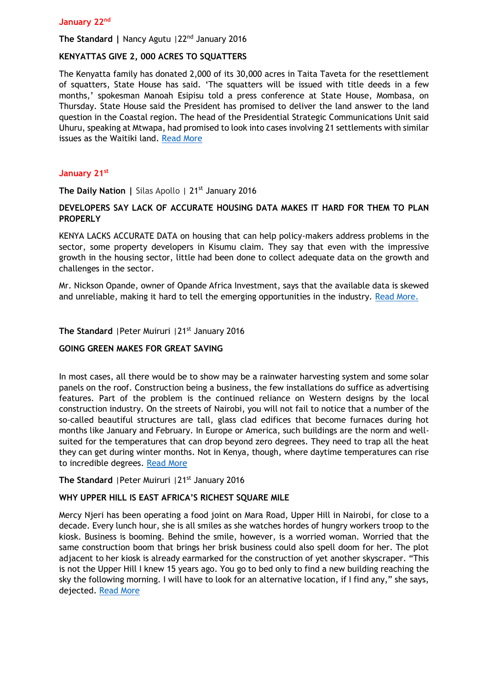#### **January 22nd**

**The Standard |** Nancy Agutu |22nd January 2016

## **KENYATTAS GIVE 2, 000 ACRES TO SQUATTERS**

The Kenyatta family has donated 2,000 of its 30,000 acres in Taita Taveta for the resettlement of squatters, State House has said. 'The squatters will be issued with title deeds in a few months,' spokesman Manoah Esipisu told a press conference at State House, Mombasa, on Thursday. State House said the President has promised to deliver the land answer to the land question in the Coastal region. The head of the Presidential Strategic Communications Unit said Uhuru, speaking at Mtwapa, had promised to look into cases involving 21 settlements with similar issues as the Waitiki land. [Read More](http://www.the-star.co.ke/news/2016/01/22/kenyattas-give-2000-acres-to-squatters_c1281039)

#### **January 21st**

**The Daily Nation |** Silas Apollo | 21<sup>st</sup> January 2016

# **DEVELOPERS SAY LACK OF ACCURATE HOUSING DATA MAKES IT HARD FOR THEM TO PLAN PROPERLY**

KENYA LACKS ACCURATE DATA on housing that can help policy-makers address problems in the sector, some property developers in Kisumu claim. They say that even with the impressive growth in the housing sector, little had been done to collect adequate data on the growth and challenges in the sector.

Mr. Nickson Opande, owner of Opande Africa Investment, says that the available data is skewed and unreliable, making it hard to tell the emerging opportunities in the industry. [Read More.](http://www.nation.co.ke/lifestyle/DN2/Developers-say-kenya-lacks-accurate-housing-data-/-/957860/3041588/-/ijfpxcz/-/index.html)

#### **The Standard** | Peter Muiruri | 21<sup>st</sup> January 2016

#### **GOING GREEN MAKES FOR GREAT SAVING**

In most cases, all there would be to show may be a rainwater harvesting system and some solar panels on the roof. Construction being a business, the few installations do suffice as advertising features. Part of the problem is the continued reliance on Western designs by the local construction industry. On the streets of Nairobi, you will not fail to notice that a number of the so-called beautiful structures are tall, glass clad edifices that become furnaces during hot months like January and February. In Europe or America, such buildings are the norm and wellsuited for the temperatures that can drop beyond zero degrees. They need to trap all the heat they can get during winter months. Not in Kenya, though, where daytime temperatures can rise to incredible degrees. [Read More](http://www.standardmedia.co.ke/lifestyle/article/2000188823/going-green-makes-for-great-saving)

## The Standard | Peter Muiruri | 21<sup>st</sup> January 2016

## **WHY UPPER HILL IS EAST AFRICA'S RICHEST SQUARE MILE**

Mercy Njeri has been operating a food joint on Mara Road, Upper Hill in Nairobi, for close to a decade. Every lunch hour, she is all smiles as she watches hordes of hungry workers troop to the kiosk. Business is booming. Behind the smile, however, is a worried woman. Worried that the same construction boom that brings her brisk business could also spell doom for her. The plot adjacent to her kiosk is already earmarked for the construction of yet another skyscraper. "This is not the Upper Hill I knew 15 years ago. You go to bed only to find a new building reaching the sky the following morning. I will have to look for an alternative location, if I find any," she says, dejected. [Read More](file:///C:/Users/KPDA%20LAPTOP/Downloads/Read%20more%20at:%20http:/www.standardmedia.co.ke/lifestyle/article/2000188814/why-upper-hill-is-east-africa-s-richest-square-mile)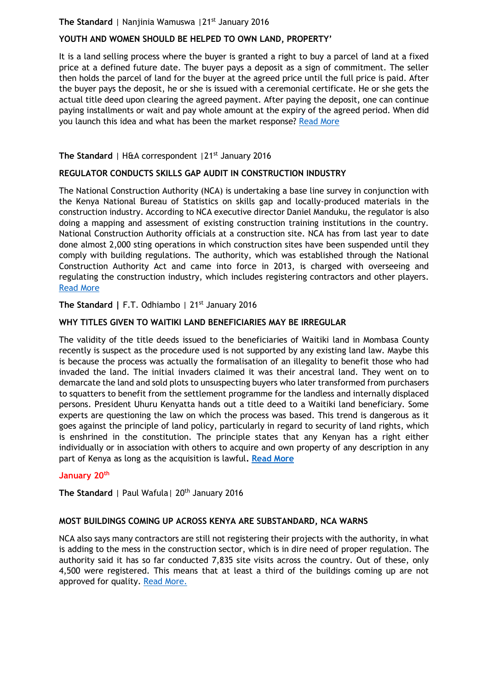# **The Standard** | Nanjinia Wamuswa | 21<sup>st</sup> January 2016

# **YOUTH AND WOMEN SHOULD BE HELPED TO OWN LAND, PROPERTY'**

It is a land selling process where the buyer is granted a right to buy a parcel of land at a fixed price at a defined future date. The buyer pays a deposit as a sign of commitment. The seller then holds the parcel of land for the buyer at the agreed price until the full price is paid. After the buyer pays the deposit, he or she is issued with a ceremonial certificate. He or she gets the actual title deed upon clearing the agreed payment. After paying the deposit, one can continue paying installments or wait and pay whole amount at the expiry of the agreed period. When did you launch this idea and what has been the market response? [Read More](file:///C:/Users/KPDA%20LAPTOP/Downloads/Read%20more%20at:%20http:/www.standardmedia.co.ke/lifestyle/article/2000188821/youth-and-women-should-be-helped-to-own-land-property)

## The Standard | H&A correspondent | 21<sup>st</sup> January 2016

#### **REGULATOR CONDUCTS SKILLS GAP AUDIT IN CONSTRUCTION INDUSTRY**

The National Construction Authority (NCA) is undertaking a base line survey in conjunction with the Kenya National Bureau of Statistics on skills gap and locally-produced materials in the construction industry. According to NCA executive director Daniel Manduku, the regulator is also doing a mapping and assessment of existing construction training institutions in the country. National Construction Authority officials at a construction site. NCA has from last year to date done almost 2,000 sting operations in which construction sites have been suspended until they comply with building regulations. The authority, which was established through the National Construction Authority Act and came into force in 2013, is charged with overseeing and regulating the construction industry, which includes registering contractors and other players. [Read More](file:///C:/Users/KPDA%20LAPTOP/Downloads/Read%20more%20at:%20http:/www.standardmedia.co.ke/lifestyle/article/2000188816/regulator-conducts-skills-gap-audit-in-construction-industry)

## **The Standard |** F.T. Odhiambo | 21st January 2016

## **WHY TITLES GIVEN TO WAITIKI LAND BENEFICIARIES MAY BE IRREGULAR**

The validity of the title deeds issued to the beneficiaries of Waitiki land in Mombasa County recently is suspect as the procedure used is not supported by any existing land law. Maybe this is because the process was actually the formalisation of an illegality to benefit those who had invaded the land. The initial invaders claimed it was their ancestral land. They went on to demarcate the land and sold plots to unsuspecting buyers who later transformed from purchasers to squatters to benefit from the settlement programme for the landless and internally displaced persons. President Uhuru Kenyatta hands out a title deed to a Waitiki land beneficiary. Some experts are questioning the law on which the process was based. This trend is dangerous as it goes against the principle of land policy, particularly in regard to security of land rights, which is enshrined in the constitution. The principle states that any Kenyan has a right either individually or in association with others to acquire and own property of any description in any part of Kenya as long as the acquisition is lawful**. [Read More](file:///C:/Users/KPDA%20LAPTOP/Downloads/Read%20more%20at:%20http:/www.standardmedia.co.ke/lifestyle/article/2000188820/why-titles-given-to-waitiki-land-beneficiaries-may-be-irregular)**

#### **January 20th**

The Standard | Paul Wafula | 20<sup>th</sup> January 2016

## **MOST BUILDINGS COMING UP ACROSS KENYA ARE SUBSTANDARD, NCA WARNS**

NCA also says many contractors are still not registering their projects with the authority, in what is adding to the mess in the construction sector, which is in dire need of proper regulation. The authority said it has so far conducted 7,835 site visits across the country. Out of these, only 4,500 were registered. This means that at least a third of the buildings coming up are not approved for quality. [Read More.](http://www.standardmedia.co.ke/business/article/2000188671/most-buildings-coming-up-across-kenya-are-substandard-nca-warns)